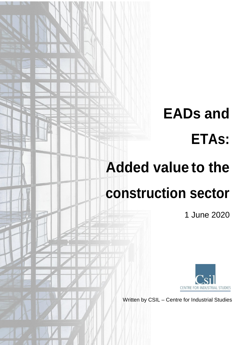# **EADs and ETAs:**

## **Added value to the**

## **construction sector**

1 June 2020



Written by CSIL – Centre for Industrial Studies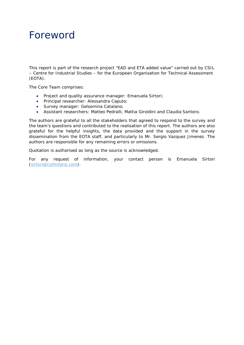### Foreword

This report is part of the research project "EAD and ETA added value" carried out by CSIL – Centre for Industrial Studies – for the European Organisation for Technical Assessment (EOTA).

The Core Team comprises:

- Project and quality assurance manager: Emanuela Sirtori;
- Principal researcher: Alessandra Caputo;
- Survey manager: Gelsomina Catalano;
- Assistant researchers: Matteo Pedralli, Mattia Giroldini and Claudia Santoro.

The authors are grateful to all the stakeholders that agreed to respond to the survey and the team's questions and contributed to the realisation of this report. The authors are also grateful for the helpful insights, the data provided and the support in the survey dissemination from the EOTA staff, and particularly to Mr. Sergio Vazquez Jimenez. The authors are responsible for any remaining errors or omissions.

Quotation is authorised as long as the source is acknowledged.

For any request of information, your contact person is Emanuela Sirtori [\(sirtori@csilmilano.com\)](mailto:sirtori@csilmilano.com).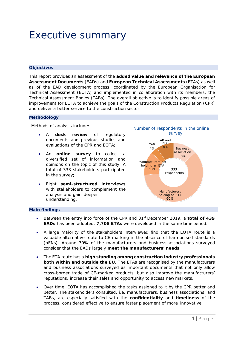### Executive summary

### **Objectives**

This report provides an assessment of the **added value and relevance of the European Assessment Documents** (EADs) and **European Technical Assessments** (ETAs) as well as of the EAD development process, coordinated by the European Organisation for Technical Assessment (EOTA) and implemented in collaboration with its members, the Technical Assessment Bodies (TABs). The overall objective is to identify possible areas of improvement for EOTA to achieve the goals of the Construction Products Regulation (CPR) and deliver a better service to the construction sector.

#### **Methodology**

Methods of analysis include:

- A **desk review** of regulatory documents and previous studies and evaluations of the CPR and EOTA;
- An **online survey** to collect a diversified set of information and opinions on the topic of this study. A total of 333 stakeholders participated in the survey;
- Eight **semi-structured interviews**  with stakeholders to complement the analysis and gain deeper understanding.



### **Main findings**

- Between the entry into force of the CPR and 31st December 2019, a **total of 439 EADs** has been adopted. **7,708 ETAs** were developed in the same time period.
- A large majority of the stakeholders interviewed find that the EOTA route is a valuable alternative route to CE marking in the absence of harmonised standards (hENs). Around 70% of the manufacturers and business associations surveyed consider that the EADs largely **meet the manufacturers' needs**.
- The ETA route has a **high standing among construction industry professionals both within and outside the EU**. The ETAs are recognised by the manufacturers and business associations surveyed as important documents that not only allow cross-border trade of CE-marked products, but also improve the manufacturers' reputations, increase their sales and opportunity to access new markets.
- Over time, EOTA has accomplished the tasks assigned to it by the CPR better and better. The stakeholders consulted, i.e. manufacturers, business associations, and TABs, are especially satisfied with the **confidentiality** and **timeliness** of the process, considered effective to ensure faster placement of more innovative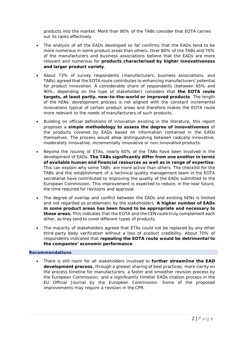products into the market. More than 80% of the TABs consider that EOTA carries out its tasks effectively.

- The analysis of all the EADs developed so far confirms that the EADs tend to be more numerous in some product areas than others. Over 80% of the TABs and 70% of the manufacturers and business associations believe that the EADs are more relevant and numerous for **products characterised by higher innovativeness and larger product variety**.
- About 73% of survey respondents (manufacturers, business associations, and TABs) agreed that the EOTA route contributes to enhancing manufacturers' potential for product innovation. A considerable share of respondents (between 65% and 90%, depending on the type of stakeholder) considers that **the EOTA route targets, at least partly, new-to-the-world or improved products**. The length of the hENs' development process is not aligned with the constant incremental innovations typical of certain product areas and therefore makes the EOTA route more relevant to the needs of manufacturers of such products.
- Building on official definitions of innovation existing in the literature, this report proposes a **simple methodology to assess the degree of innovativeness** of the products covered by EADs based on information contained in the EADs themselves. The process would allow distinguishing between radically innovative, moderately innovative, incrementally innovative or non-innovative products.
- Beyond the issuing of ETAs, nearly 60% of the TABs have been involved in the development of EADs. **The TABs significantly differ from one another in terms of available human and financial resources as well as in range of expertise**. This can explain why some TABs are more active than others. The checklist for the TABs and the establishment of a technical quality management team in the EOTA secretariat have contributed to improving the quality of the EADs submitted to the European Commission. This improvement is expected to reduce, in the near future, the time required for revisions and approval.
- The degree of overlap and conflict between the EADs and existing hENs is limited and not regarded as problematic by the stakeholders. **A higher number of EADs in some product areas has been found to be appropriate and necessary to these areas.** This indicates that the EOTA and the CEN route truly complement each other, as they tend to cover different types of products.
- The majority of stakeholders agreed that ETAs could not be replaced by any other third-party body verification without a loss of product credibility. About 70% of respondents indicated that **repealing the EOTA route would be detrimental to the companies' economic performance**.

### **Recommendations**

• There is still room for all stakeholders involved to **further streamline the EAD development process**, through a greater sharing of best practices; more clarity on the process timeline for manufacturers; a faster and smoother revision process by the European Commission; and a significantly timelier EADs citation process in the EU Official Journal by the European Commission. Some of the proposed improvements may require a revision in the CPR.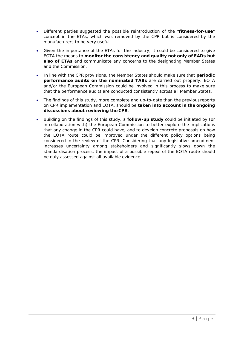- Different parties suggested the possible reintroduction of the "**fitness-for-use**" concept in the ETAs, which was removed by the CPR but is considered by the manufacturers to be very useful.
- Given the importance of the ETAs for the industry, it could be considered to give EOTA the means to **monitor the consistency and quality not only of EADs but also of ETAs** and communicate any concerns to the designating Member States and the Commission.
- In line with the CPR provisions, the Member States should make sure that **periodic performance audits on the nominated TABs** are carried out properly. EOTA and/or the European Commission could be involved in this process to make sure that the performance audits are conducted consistently across all Member States.
- The findings of this study, more complete and up-to-date than the previousreports on CPR implementation and EOTA, should be **taken into account in the ongoing discussions about reviewing the CPR**.
- Building on the findings of this study, a **follow-up study** could be initiated by (or in collaboration with) the European Commission to better explore the implications that any change in the CPR could have, and to develop concrete proposals on how the EOTA route could be improved under the different policy options being considered in the review of the CPR. Considering that any legislative amendment increases uncertainty among stakeholders and significantly slows down the standardisation process, the impact of a possible repeal of the EOTA route should be duly assessed against all available evidence.